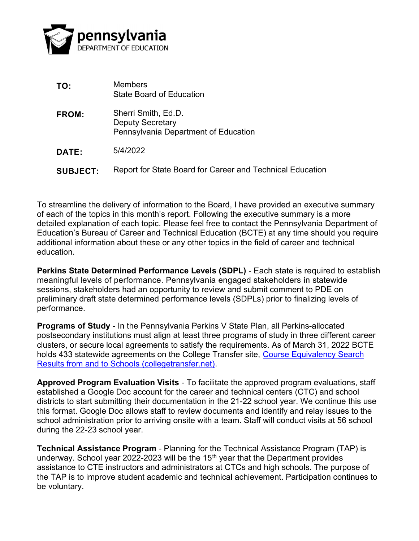

| TO:             | Members<br><b>State Board of Education</b>                                             |
|-----------------|----------------------------------------------------------------------------------------|
| <b>FROM:</b>    | Sherri Smith, Ed.D.<br><b>Deputy Secretary</b><br>Pennsylvania Department of Education |
| <b>DATE:</b>    | 5/4/2022                                                                               |
| <b>SUBJECT:</b> | Report for State Board for Career and Technical Education                              |

To streamline the delivery of information to the Board, I have provided an executive summary of each of the topics in this month's report. Following the executive summary is a more detailed explanation of each topic. Please feel free to contact the Pennsylvania Department of Education's Bureau of Career and Technical Education (BCTE) at any time should you require additional information about these or any other topics in the field of career and technical education.

Perkins State Determined Performance Levels (SDPL) - Each state is required to establish meaningful levels of performance. Pennsylvania engaged stakeholders in statewide sessions, stakeholders had an opportunity to review and submit comment to PDE on preliminary draft state determined performance levels (SDPLs) prior to finalizing levels of performance.

Programs of Study - In the Pennsylvania Perkins V State Plan, all Perkins-allocated postsecondary institutions must align at least three programs of study in three different career clusters, or secure local agreements to satisfy the requirements. As of March 31, 2022 BCTE holds 433 statewide agreements on the College Transfer site, Course Equivalency Search Results from and to Schools (collegetransfer.net).

Approved Program Evaluation Visits - To facilitate the approved program evaluations, staff established a Google Doc account for the career and technical centers (CTC) and school districts to start submitting their documentation in the 21-22 school year. We continue this use this format. Google Doc allows staff to review documents and identify and relay issues to the school administration prior to arriving onsite with a team. Staff will conduct visits at 56 school during the 22-23 school year.

Technical Assistance Program - Planning for the Technical Assistance Program (TAP) is underway. School year 2022-2023 will be the 15<sup>th</sup> year that the Department provides assistance to CTE instructors and administrators at CTCs and high schools. The purpose of the TAP is to improve student academic and technical achievement. Participation continues to be voluntary.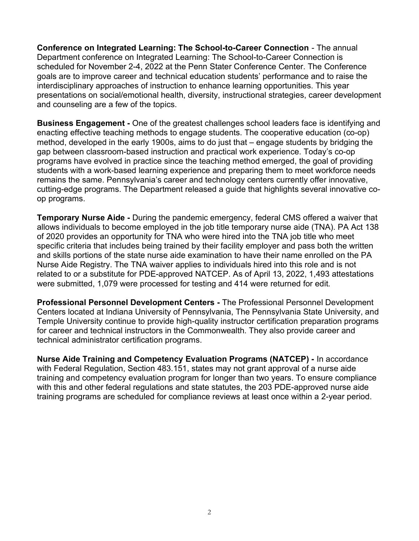Conference on Integrated Learning: The School-to-Career Connection - The annual Department conference on Integrated Learning: The School-to-Career Connection is scheduled for November 2-4, 2022 at the Penn Stater Conference Center. The Conference goals are to improve career and technical education students' performance and to raise the interdisciplinary approaches of instruction to enhance learning opportunities. This year presentations on social/emotional health, diversity, instructional strategies, career development and counseling are a few of the topics.

Business Engagement - One of the greatest challenges school leaders face is identifying and enacting effective teaching methods to engage students. The cooperative education (co-op) method, developed in the early 1900s, aims to do just that – engage students by bridging the gap between classroom-based instruction and practical work experience. Today's co-op programs have evolved in practice since the teaching method emerged, the goal of providing students with a work-based learning experience and preparing them to meet workforce needs remains the same. Pennsylvania's career and technology centers currently offer innovative, cutting-edge programs. The Department released a guide that highlights several innovative coop programs.

Temporary Nurse Aide - During the pandemic emergency, federal CMS offered a waiver that allows individuals to become employed in the job title temporary nurse aide (TNA). PA Act 138 of 2020 provides an opportunity for TNA who were hired into the TNA job title who meet specific criteria that includes being trained by their facility employer and pass both the written and skills portions of the state nurse aide examination to have their name enrolled on the PA Nurse Aide Registry. The TNA waiver applies to individuals hired into this role and is not related to or a substitute for PDE-approved NATCEP. As of April 13, 2022, 1,493 attestations were submitted, 1,079 were processed for testing and 414 were returned for edit.

Professional Personnel Development Centers - The Professional Personnel Development Centers located at Indiana University of Pennsylvania, The Pennsylvania State University, and Temple University continue to provide high-quality instructor certification preparation programs for career and technical instructors in the Commonwealth. They also provide career and technical administrator certification programs.

Nurse Aide Training and Competency Evaluation Programs (NATCEP) - In accordance with Federal Regulation, Section 483.151, states may not grant approval of a nurse aide training and competency evaluation program for longer than two years. To ensure compliance with this and other federal regulations and state statutes, the 203 PDE-approved nurse aide training programs are scheduled for compliance reviews at least once within a 2-year period.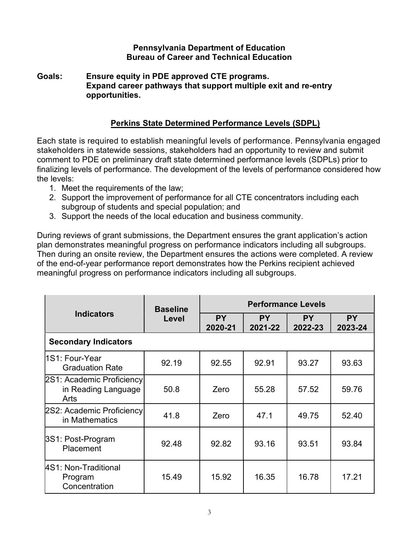#### Pennsylvania Department of Education Bureau of Career and Technical Education

Goals: Ensure equity in PDE approved CTE programs. Expand career pathways that support multiple exit and re-entry opportunities.

#### Perkins State Determined Performance Levels (SDPL)

Each state is required to establish meaningful levels of performance. Pennsylvania engaged stakeholders in statewide sessions, stakeholders had an opportunity to review and submit comment to PDE on preliminary draft state determined performance levels (SDPLs) prior to finalizing levels of performance. The development of the levels of performance considered how the levels:

- 1. Meet the requirements of the law;
- 2. Support the improvement of performance for all CTE concentrators including each subgroup of students and special population; and
- 3. Support the needs of the local education and business community.

During reviews of grant submissions, the Department ensures the grant application's action plan demonstrates meaningful progress on performance indicators including all subgroups. Then during an onsite review, the Department ensures the actions were completed. A review of the end-of-year performance report demonstrates how the Perkins recipient achieved meaningful progress on performance indicators including all subgroups.

|                                                           | <b>Baseline</b><br>Level | <b>Performance Levels</b> |                      |                      |                      |  |  |  |  |
|-----------------------------------------------------------|--------------------------|---------------------------|----------------------|----------------------|----------------------|--|--|--|--|
| <b>Indicators</b>                                         |                          | <b>PY</b><br>2020-21      | <b>PY</b><br>2021-22 | <b>PY</b><br>2022-23 | <b>PY</b><br>2023-24 |  |  |  |  |
| <b>Secondary Indicators</b>                               |                          |                           |                      |                      |                      |  |  |  |  |
| 1S1: Four-Year<br><b>Graduation Rate</b>                  | 92.19                    | 92.55                     | 92.91                | 93.27                | 93.63                |  |  |  |  |
| 2S1: Academic Proficiency <br>in Reading Language<br>Arts | 50.8                     | Zero                      | 55.28                | 57.52                | 59.76                |  |  |  |  |
| 2S2: Academic Proficiency<br>in Mathematics               | 41.8                     | Zero                      | 47.1                 | 49.75                | 52.40                |  |  |  |  |
| 3S1: Post-Program<br>Placement                            | 92.48                    | 92.82                     | 93.16                | 93.51                | 93.84                |  |  |  |  |
| 4S1: Non-Traditional<br>Program<br>Concentration          | 15.49                    | 15.92                     | 16.35                | 16.78                | 17.21                |  |  |  |  |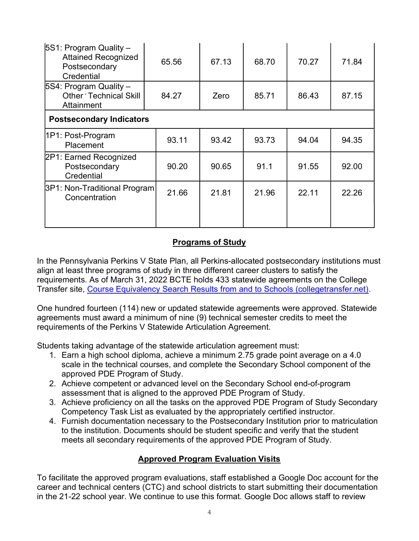| $ 5S1$ : Program Quality -<br><b>Attained Recognized</b><br>Postsecondary<br>Credential | 65.56 | 67.13 | 68.70 | 70.27 | 71.84 |  |  |  |
|-----------------------------------------------------------------------------------------|-------|-------|-------|-------|-------|--|--|--|
| $ 5S4$ : Program Quality -<br>Other <sup>-</sup> Technical Skill<br>Attainment          | 84.27 | Zero  | 85.71 | 86.43 | 87.15 |  |  |  |
| <b>Postsecondary Indicators</b>                                                         |       |       |       |       |       |  |  |  |
| 1P1: Post-Program<br>Placement                                                          | 93.11 | 93.42 | 93.73 | 94.04 | 94.35 |  |  |  |
| 2P1: Earned Recognized<br>Postsecondary<br>Credential                                   | 90.20 | 90.65 | 91.1  | 91.55 | 92.00 |  |  |  |
| 3P1: Non-Traditional Program<br>Concentration                                           | 21.66 | 21.81 | 21.96 | 22.11 | 22.26 |  |  |  |

# Programs of Study

In the Pennsylvania Perkins V State Plan, all Perkins-allocated postsecondary institutions must align at least three programs of study in three different career clusters to satisfy the requirements. As of March 31, 2022 BCTE holds 433 statewide agreements on the College Transfer site, Course Equivalency Search Results from and to Schools (collegetransfer.net).

One hundred fourteen (114) new or updated statewide agreements were approved. Statewide agreements must award a minimum of nine (9) technical semester credits to meet the requirements of the Perkins V Statewide Articulation Agreement.

Students taking advantage of the statewide articulation agreement must:

- 1. Earn a high school diploma, achieve a minimum 2.75 grade point average on a 4.0 scale in the technical courses, and complete the Secondary School component of the approved PDE Program of Study.
- 2. Achieve competent or advanced level on the Secondary School end-of-program assessment that is aligned to the approved PDE Program of Study.
- 3. Achieve proficiency on all the tasks on the approved PDE Program of Study Secondary Competency Task List as evaluated by the appropriately certified instructor.
- 4. Furnish documentation necessary to the Postsecondary Institution prior to matriculation to the institution. Documents should be student specific and verify that the student meets all secondary requirements of the approved PDE Program of Study.

# Approved Program Evaluation Visits

To facilitate the approved program evaluations, staff established a Google Doc account for the career and technical centers (CTC) and school districts to start submitting their documentation in the 21-22 school year. We continue to use this format. Google Doc allows staff to review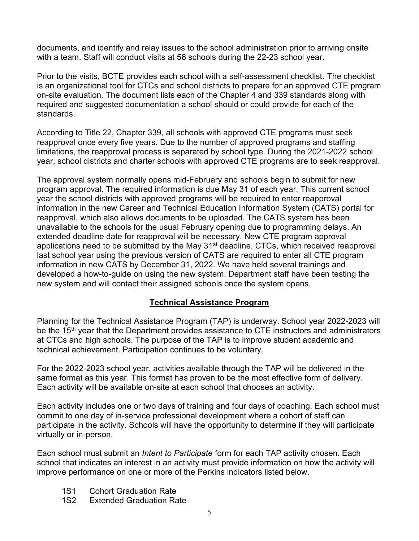documents, and identify and relay issues to the school administration prior to arriving onsite with a team. Staff will conduct visits at 56 schools during the 22-23 school year.

Prior to the visits, BCTE provides each school with a self-assessment checklist. The checklist is an organizational tool for CTCs and school districts to prepare for an approved CTE program on-site evaluation. The document lists each of the Chapter 4 and 339 standards along with required and suggested documentation a school should or could provide for each of the standards.

According to Title 22, Chapter 339, all schools with approved CTE programs must seek reapproval once every five years. Due to the number of approved programs and staffing limitations, the reapproval process is separated by school type. During the 2021-2022 school year, school districts and charter schools with approved CTE programs are to seek reapproval.

The approval system normally opens mid-February and schools begin to submit for new program approval. The required information is due May 31 of each year. This current school year the school districts with approved programs will be required to enter reapproval information in the new Career and Technical Education Information System (CATS) portal for reapproval, which also allows documents to be uploaded. The CATS system has been unavailable to the schools for the usual February opening due to programming delays. An extended deadline date for reapproval will be necessary. New CTE program approval applications need to be submitted by the May 31<sup>st</sup> deadline. CTCs, which received reapproval last school year using the previous version of CATS are required to enter all CTE program information in new CATS by December 31, 2022. We have held several trainings and developed a how-to-guide on using the new system. Department staff have been testing the new system and will contact their assigned schools once the system opens.

#### Technical Assistance Program

Planning for the Technical Assistance Program (TAP) is underway. School year 2022-2023 will be the 15<sup>th</sup> year that the Department provides assistance to CTE instructors and administrators at CTCs and high schools. The purpose of the TAP is to improve student academic and technical achievement. Participation continues to be voluntary.

For the 2022-2023 school year, activities available through the TAP will be delivered in the same format as this year. This format has proven to be the most effective form of delivery. Each activity will be available on-site at each school that chooses an activity.

Each activity includes one or two days of training and four days of coaching. Each school must commit to one day of in-service professional development where a cohort of staff can participate in the activity. Schools will have the opportunity to determine if they will participate virtually or in-person.

Each school must submit an *Intent to Participate* form for each TAP activity chosen. Each school that indicates an interest in an activity must provide information on how the activity will improve performance on one or more of the Perkins indicators listed below.

- 1S1 Cohort Graduation Rate
- 1S2 Extended Graduation Rate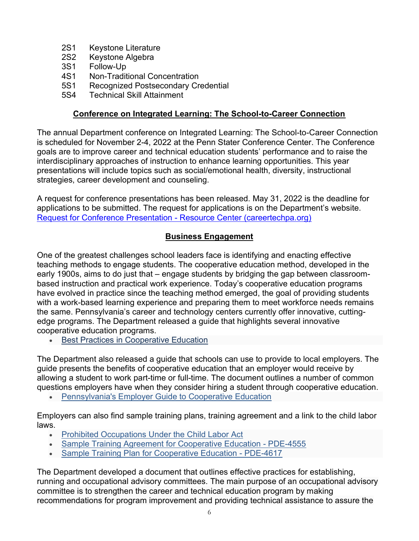- 2S1 Keystone Literature
- 2S2 Keystone Algebra
- 3S1 Follow-Up
- 4S1 Non-Traditional Concentration
- 5S1 Recognized Postsecondary Credential
- 5S4 Technical Skill Attainment

#### Conference on Integrated Learning: The School-to-Career Connection

The annual Department conference on Integrated Learning: The School-to-Career Connection is scheduled for November 2-4, 2022 at the Penn Stater Conference Center. The Conference goals are to improve career and technical education students' performance and to raise the interdisciplinary approaches of instruction to enhance learning opportunities. This year presentations will include topics such as social/emotional health, diversity, instructional strategies, career development and counseling.

A request for conference presentations has been released. May 31, 2022 is the deadline for applications to be submitted. The request for applications is on the Department's website. Request for Conference Presentation - Resource Center (careertechpa.org)

# Business Engagement

One of the greatest challenges school leaders face is identifying and enacting effective teaching methods to engage students. The cooperative education method, developed in the early 1900s, aims to do just that – engage students by bridging the gap between classroombased instruction and practical work experience. Today's cooperative education programs have evolved in practice since the teaching method emerged, the goal of providing students with a work-based learning experience and preparing them to meet workforce needs remains the same. Pennsylvania's career and technology centers currently offer innovative, cuttingedge programs. The Department released a guide that highlights several innovative cooperative education programs.

**• Best Practices in Cooperative Education** 

The Department also released a guide that schools can use to provide to local employers. The guide presents the benefits of cooperative education that an employer would receive by allowing a student to work part-time or full-time. The document outlines a number of common questions employers have when they consider hiring a student through cooperative education.

**• Pennsylvania's Employer Guide to Cooperative Education** 

Employers can also find sample training plans, training agreement and a link to the child labor laws.

- Prohibited Occupations Under the Child Labor Act
- Sample Training Agreement for Cooperative Education PDE-4555
- Sample Training Plan for Cooperative Education PDE-4617

The Department developed a document that outlines effective practices for establishing, running and occupational advisory committees. The main purpose of an occupational advisory committee is to strengthen the career and technical education program by making recommendations for program improvement and providing technical assistance to assure the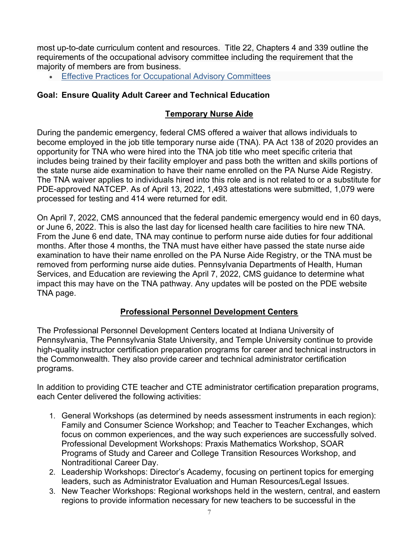most up-to-date curriculum content and resources. Title 22, Chapters 4 and 339 outline the requirements of the occupational advisory committee including the requirement that the majority of members are from business.

**Effective Practices for Occupational Advisory Committees** 

### Goal: Ensure Quality Adult Career and Technical Education

#### Temporary Nurse Aide

During the pandemic emergency, federal CMS offered a waiver that allows individuals to become employed in the job title temporary nurse aide (TNA). PA Act 138 of 2020 provides an opportunity for TNA who were hired into the TNA job title who meet specific criteria that includes being trained by their facility employer and pass both the written and skills portions of the state nurse aide examination to have their name enrolled on the PA Nurse Aide Registry. The TNA waiver applies to individuals hired into this role and is not related to or a substitute for PDE-approved NATCEP. As of April 13, 2022, 1,493 attestations were submitted, 1,079 were processed for testing and 414 were returned for edit.

On April 7, 2022, CMS announced that the federal pandemic emergency would end in 60 days, or June 6, 2022. This is also the last day for licensed health care facilities to hire new TNA. From the June 6 end date, TNA may continue to perform nurse aide duties for four additional months. After those 4 months, the TNA must have either have passed the state nurse aide examination to have their name enrolled on the PA Nurse Aide Registry, or the TNA must be removed from performing nurse aide duties. Pennsylvania Departments of Health, Human Services, and Education are reviewing the April 7, 2022, CMS guidance to determine what impact this may have on the TNA pathway. Any updates will be posted on the PDE website TNA page.

# Professional Personnel Development Centers

The Professional Personnel Development Centers located at Indiana University of Pennsylvania, The Pennsylvania State University, and Temple University continue to provide high-quality instructor certification preparation programs for career and technical instructors in the Commonwealth. They also provide career and technical administrator certification programs.

In addition to providing CTE teacher and CTE administrator certification preparation programs, each Center delivered the following activities:

- 1. General Workshops (as determined by needs assessment instruments in each region): Family and Consumer Science Workshop; and Teacher to Teacher Exchanges, which focus on common experiences, and the way such experiences are successfully solved. Professional Development Workshops: Praxis Mathematics Workshop, SOAR Programs of Study and Career and College Transition Resources Workshop, and Nontraditional Career Day.
- 2. Leadership Workshops: Director's Academy, focusing on pertinent topics for emerging leaders, such as Administrator Evaluation and Human Resources/Legal Issues.
- 3. New Teacher Workshops: Regional workshops held in the western, central, and eastern regions to provide information necessary for new teachers to be successful in the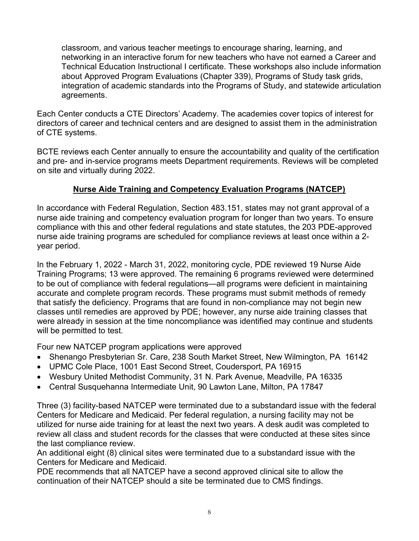classroom, and various teacher meetings to encourage sharing, learning, and networking in an interactive forum for new teachers who have not earned a Career and Technical Education Instructional I certificate. These workshops also include information about Approved Program Evaluations (Chapter 339), Programs of Study task grids, integration of academic standards into the Programs of Study, and statewide articulation agreements.

Each Center conducts a CTE Directors' Academy. The academies cover topics of interest for directors of career and technical centers and are designed to assist them in the administration of CTE systems.

BCTE reviews each Center annually to ensure the accountability and quality of the certification and pre- and in-service programs meets Department requirements. Reviews will be completed on site and virtually during 2022.

# Nurse Aide Training and Competency Evaluation Programs (NATCEP)

In accordance with Federal Regulation, Section 483.151, states may not grant approval of a nurse aide training and competency evaluation program for longer than two years. To ensure compliance with this and other federal regulations and state statutes, the 203 PDE-approved nurse aide training programs are scheduled for compliance reviews at least once within a 2 year period.

In the February 1, 2022 - March 31, 2022, monitoring cycle, PDE reviewed 19 Nurse Aide Training Programs; 13 were approved. The remaining 6 programs reviewed were determined to be out of compliance with federal regulations—all programs were deficient in maintaining accurate and complete program records. These programs must submit methods of remedy that satisfy the deficiency. Programs that are found in non-compliance may not begin new classes until remedies are approved by PDE; however, any nurse aide training classes that were already in session at the time noncompliance was identified may continue and students will be permitted to test.

Four new NATCEP program applications were approved

- Shenango Presbyterian Sr. Care, 238 South Market Street, New Wilmington, PA 16142
- UPMC Cole Place, 1001 East Second Street, Coudersport, PA 16915
- Wesbury United Methodist Community, 31 N. Park Avenue, Meadville, PA 16335
- Central Susquehanna Intermediate Unit, 90 Lawton Lane, Milton, PA 17847

Three (3) facility-based NATCEP were terminated due to a substandard issue with the federal Centers for Medicare and Medicaid. Per federal regulation, a nursing facility may not be utilized for nurse aide training for at least the next two years. A desk audit was completed to review all class and student records for the classes that were conducted at these sites since the last compliance review.

An additional eight (8) clinical sites were terminated due to a substandard issue with the Centers for Medicare and Medicaid.

PDE recommends that all NATCEP have a second approved clinical site to allow the continuation of their NATCEP should a site be terminated due to CMS findings.